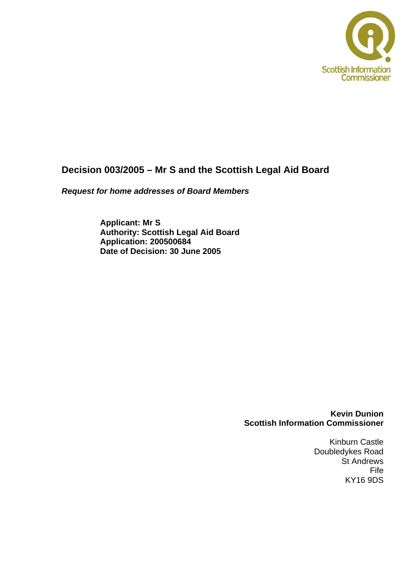

# **Decision 003/2005 – Mr S and the Scottish Legal Aid Board**

*Request for home addresses of Board Members* 

**Applicant: Mr S Authority: Scottish Legal Aid Board Application: 200500684 Date of Decision: 30 June 2005** 

> **Kevin Dunion Scottish Information Commissioner**

> > Kinburn Castle Doubledykes Road St Andrews Fife KY16 9DS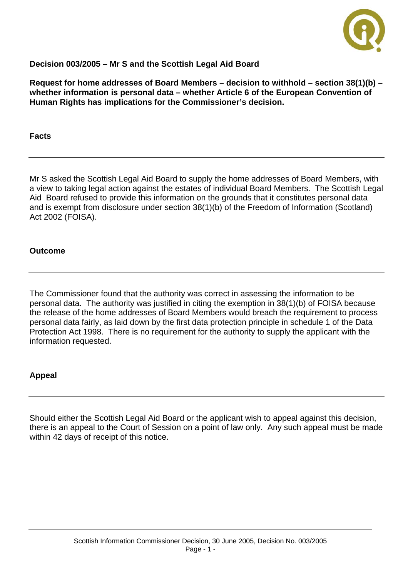

# **Decision 003/2005 – Mr S and the Scottish Legal Aid Board**

**Request for home addresses of Board Members – decision to withhold – section 38(1)(b) – whether information is personal data – whether Article 6 of the European Convention of Human Rights has implications for the Commissioner's decision.** 

**Facts** 

Mr S asked the Scottish Legal Aid Board to supply the home addresses of Board Members, with a view to taking legal action against the estates of individual Board Members. The Scottish Legal Aid Board refused to provide this information on the grounds that it constitutes personal data and is exempt from disclosure under section 38(1)(b) of the Freedom of Information (Scotland) Act 2002 (FOISA).

#### **Outcome**

The Commissioner found that the authority was correct in assessing the information to be personal data. The authority was justified in citing the exemption in 38(1)(b) of FOISA because the release of the home addresses of Board Members would breach the requirement to process personal data fairly, as laid down by the first data protection principle in schedule 1 of the Data Protection Act 1998. There is no requirement for the authority to supply the applicant with the information requested.

## **Appeal**

Should either the Scottish Legal Aid Board or the applicant wish to appeal against this decision, there is an appeal to the Court of Session on a point of law only. Any such appeal must be made within 42 days of receipt of this notice.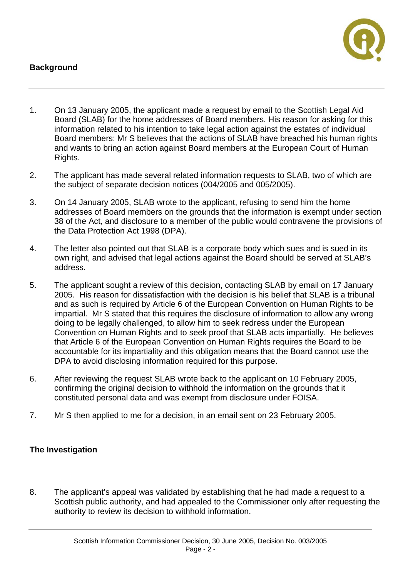# **Background**



- 1. On 13 January 2005, the applicant made a request by email to the Scottish Legal Aid Board (SLAB) for the home addresses of Board members. His reason for asking for this information related to his intention to take legal action against the estates of individual Board members: Mr S believes that the actions of SLAB have breached his human rights and wants to bring an action against Board members at the European Court of Human Rights.
- 2. The applicant has made several related information requests to SLAB, two of which are the subject of separate decision notices (004/2005 and 005/2005).
- 3. On 14 January 2005, SLAB wrote to the applicant, refusing to send him the home addresses of Board members on the grounds that the information is exempt under section 38 of the Act, and disclosure to a member of the public would contravene the provisions of the Data Protection Act 1998 (DPA).
- 4. The letter also pointed out that SLAB is a corporate body which sues and is sued in its own right, and advised that legal actions against the Board should be served at SLAB's address.
- 5. The applicant sought a review of this decision, contacting SLAB by email on 17 January 2005. His reason for dissatisfaction with the decision is his belief that SLAB is a tribunal and as such is required by Article 6 of the European Convention on Human Rights to be impartial. Mr S stated that this requires the disclosure of information to allow any wrong doing to be legally challenged, to allow him to seek redress under the European Convention on Human Rights and to seek proof that SLAB acts impartially. He believes that Article 6 of the European Convention on Human Rights requires the Board to be accountable for its impartiality and this obligation means that the Board cannot use the DPA to avoid disclosing information required for this purpose.
- 6. After reviewing the request SLAB wrote back to the applicant on 10 February 2005, confirming the original decision to withhold the information on the grounds that it constituted personal data and was exempt from disclosure under FOISA.
- 7. Mr S then applied to me for a decision, in an email sent on 23 February 2005.

## **The Investigation**

8. The applicant's appeal was validated by establishing that he had made a request to a Scottish public authority, and had appealed to the Commissioner only after requesting the authority to review its decision to withhold information.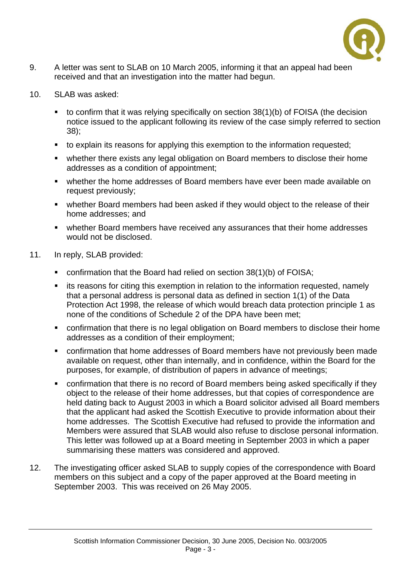

- 9. A letter was sent to SLAB on 10 March 2005, informing it that an appeal had been received and that an investigation into the matter had begun.
- 10. SLAB was asked:
	- $\bullet$  to confirm that it was relying specifically on section 38(1)(b) of FOISA (the decision notice issued to the applicant following its review of the case simply referred to section 38);
	- to explain its reasons for applying this exemption to the information requested;
	- whether there exists any legal obligation on Board members to disclose their home addresses as a condition of appointment;
	- whether the home addresses of Board members have ever been made available on request previously;
	- whether Board members had been asked if they would object to the release of their home addresses; and
	- whether Board members have received any assurances that their home addresses would not be disclosed.
- 11. In reply, SLAB provided:
	- confirmation that the Board had relied on section 38(1)(b) of FOISA;
	- **EXT** its reasons for citing this exemption in relation to the information requested, namely that a personal address is personal data as defined in section 1(1) of the Data Protection Act 1998, the release of which would breach data protection principle 1 as none of the conditions of Schedule 2 of the DPA have been met;
	- confirmation that there is no legal obligation on Board members to disclose their home addresses as a condition of their employment;
	- confirmation that home addresses of Board members have not previously been made available on request, other than internally, and in confidence, within the Board for the purposes, for example, of distribution of papers in advance of meetings;
	- confirmation that there is no record of Board members being asked specifically if they object to the release of their home addresses, but that copies of correspondence are held dating back to August 2003 in which a Board solicitor advised all Board members that the applicant had asked the Scottish Executive to provide information about their home addresses. The Scottish Executive had refused to provide the information and Members were assured that SLAB would also refuse to disclose personal information. This letter was followed up at a Board meeting in September 2003 in which a paper summarising these matters was considered and approved.
- 12. The investigating officer asked SLAB to supply copies of the correspondence with Board members on this subject and a copy of the paper approved at the Board meeting in September 2003. This was received on 26 May 2005.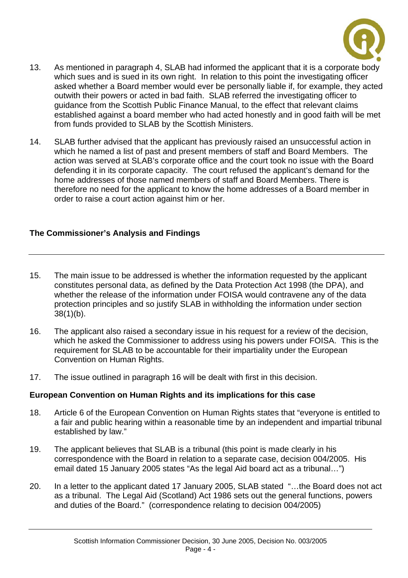

- 13. As mentioned in paragraph 4, SLAB had informed the applicant that it is a corporate body which sues and is sued in its own right. In relation to this point the investigating officer asked whether a Board member would ever be personally liable if, for example, they acted outwith their powers or acted in bad faith. SLAB referred the investigating officer to guidance from the Scottish Public Finance Manual, to the effect that relevant claims established against a board member who had acted honestly and in good faith will be met from funds provided to SLAB by the Scottish Ministers.
- 14. SLAB further advised that the applicant has previously raised an unsuccessful action in which he named a list of past and present members of staff and Board Members. The action was served at SLAB's corporate office and the court took no issue with the Board defending it in its corporate capacity. The court refused the applicant's demand for the home addresses of those named members of staff and Board Members. There is therefore no need for the applicant to know the home addresses of a Board member in order to raise a court action against him or her.

## **The Commissioner's Analysis and Findings**

- 15. The main issue to be addressed is whether the information requested by the applicant constitutes personal data, as defined by the Data Protection Act 1998 (the DPA), and whether the release of the information under FOISA would contravene any of the data protection principles and so justify SLAB in withholding the information under section 38(1)(b).
- 16. The applicant also raised a secondary issue in his request for a review of the decision, which he asked the Commissioner to address using his powers under FOISA. This is the requirement for SLAB to be accountable for their impartiality under the European Convention on Human Rights.
- 17. The issue outlined in paragraph 16 will be dealt with first in this decision.

## **European Convention on Human Rights and its implications for this case**

- 18. Article 6 of the European Convention on Human Rights states that "everyone is entitled to a fair and public hearing within a reasonable time by an independent and impartial tribunal established by law."
- 19. The applicant believes that SLAB is a tribunal (this point is made clearly in his correspondence with the Board in relation to a separate case, decision 004/2005. His email dated 15 January 2005 states "As the legal Aid board act as a tribunal…")
- 20. In a letter to the applicant dated 17 January 2005, SLAB stated "…the Board does not act as a tribunal. The Legal Aid (Scotland) Act 1986 sets out the general functions, powers and duties of the Board." (correspondence relating to decision 004/2005)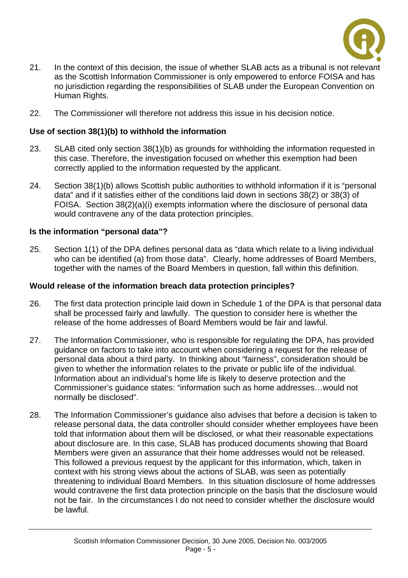

- 21. In the context of this decision, the issue of whether SLAB acts as a tribunal is not relevant as the Scottish Information Commissioner is only empowered to enforce FOISA and has no jurisdiction regarding the responsibilities of SLAB under the European Convention on Human Rights.
- 22. The Commissioner will therefore not address this issue in his decision notice.

## **Use of section 38(1)(b) to withhold the information**

- 23. SLAB cited only section 38(1)(b) as grounds for withholding the information requested in this case. Therefore, the investigation focused on whether this exemption had been correctly applied to the information requested by the applicant.
- 24. Section 38(1)(b) allows Scottish public authorities to withhold information if it is "personal data" and if it satisfies either of the conditions laid down in sections 38(2) or 38(3) of FOISA. Section 38(2)(a)(i) exempts information where the disclosure of personal data would contravene any of the data protection principles.

## **Is the information "personal data"?**

25. Section 1(1) of the DPA defines personal data as "data which relate to a living individual who can be identified (a) from those data". Clearly, home addresses of Board Members, together with the names of the Board Members in question, fall within this definition.

#### **Would release of the information breach data protection principles?**

- 26. The first data protection principle laid down in Schedule 1 of the DPA is that personal data shall be processed fairly and lawfully. The question to consider here is whether the release of the home addresses of Board Members would be fair and lawful.
- 27. The Information Commissioner, who is responsible for regulating the DPA, has provided guidance on factors to take into account when considering a request for the release of personal data about a third party. In thinking about "fairness", consideration should be given to whether the information relates to the private or public life of the individual. Information about an individual's home life is likely to deserve protection and the Commissioner's guidance states: "information such as home addresses…would not normally be disclosed".
- 28. The Information Commissioner's guidance also advises that before a decision is taken to release personal data, the data controller should consider whether employees have been told that information about them will be disclosed, or what their reasonable expectations about disclosure are. In this case, SLAB has produced documents showing that Board Members were given an assurance that their home addresses would not be released. This followed a previous request by the applicant for this information, which, taken in context with his strong views about the actions of SLAB, was seen as potentially threatening to individual Board Members. In this situation disclosure of home addresses would contravene the first data protection principle on the basis that the disclosure would not be fair. In the circumstances I do not need to consider whether the disclosure would be lawful.